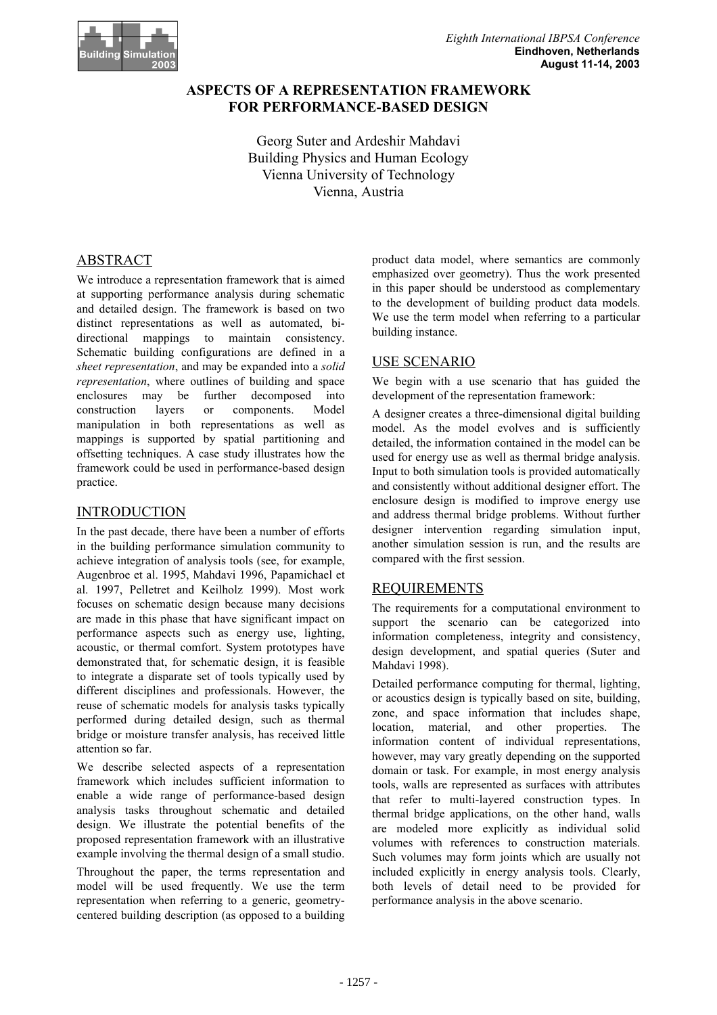

# **ASPECTS OF A REPRESENTATION FRAMEWORK FOR PERFORMANCE-BASED DESIGN**

Georg Suter and Ardeshir Mahdavi Building Physics and Human Ecology Vienna University of Technology Vienna, Austria

# ABSTRACT

We introduce a representation framework that is aimed at supporting performance analysis during schematic and detailed design. The framework is based on two distinct representations as well as automated, bidirectional mappings to maintain consistency. Schematic building configurations are defined in a *sheet representation*, and may be expanded into a *solid representation*, where outlines of building and space enclosures may be further decomposed into construction layers or components. Model manipulation in both representations as well as mappings is supported by spatial partitioning and offsetting techniques. A case study illustrates how the framework could be used in performance-based design practice.

## INTRODUCTION

In the past decade, there have been a number of efforts in the building performance simulation community to achieve integration of analysis tools (see, for example, Augenbroe et al. 1995, Mahdavi 1996, Papamichael et al. 1997, Pelletret and Keilholz 1999). Most work focuses on schematic design because many decisions are made in this phase that have significant impact on performance aspects such as energy use, lighting, acoustic, or thermal comfort. System prototypes have demonstrated that, for schematic design, it is feasible to integrate a disparate set of tools typically used by different disciplines and professionals. However, the reuse of schematic models for analysis tasks typically performed during detailed design, such as thermal bridge or moisture transfer analysis, has received little attention so far.

We describe selected aspects of a representation framework which includes sufficient information to enable a wide range of performance-based design analysis tasks throughout schematic and detailed design. We illustrate the potential benefits of the proposed representation framework with an illustrative example involving the thermal design of a small studio.

Throughout the paper, the terms representation and model will be used frequently. We use the term representation when referring to a generic, geometrycentered building description (as opposed to a building product data model, where semantics are commonly emphasized over geometry). Thus the work presented in this paper should be understood as complementary to the development of building product data models. We use the term model when referring to a particular building instance.

## USE SCENARIO

We begin with a use scenario that has guided the development of the representation framework:

A designer creates a three-dimensional digital building model. As the model evolves and is sufficiently detailed, the information contained in the model can be used for energy use as well as thermal bridge analysis. Input to both simulation tools is provided automatically and consistently without additional designer effort. The enclosure design is modified to improve energy use and address thermal bridge problems. Without further designer intervention regarding simulation input, another simulation session is run, and the results are compared with the first session.

## REQUIREMENTS

The requirements for a computational environment to support the scenario can be categorized into information completeness, integrity and consistency, design development, and spatial queries (Suter and Mahdavi 1998).

Detailed performance computing for thermal, lighting, or acoustics design is typically based on site, building, zone, and space information that includes shape, location, material, and other properties. The information content of individual representations, however, may vary greatly depending on the supported domain or task. For example, in most energy analysis tools, walls are represented as surfaces with attributes that refer to multi-layered construction types. In thermal bridge applications, on the other hand, walls are modeled more explicitly as individual solid volumes with references to construction materials. Such volumes may form joints which are usually not included explicitly in energy analysis tools. Clearly, both levels of detail need to be provided for performance analysis in the above scenario.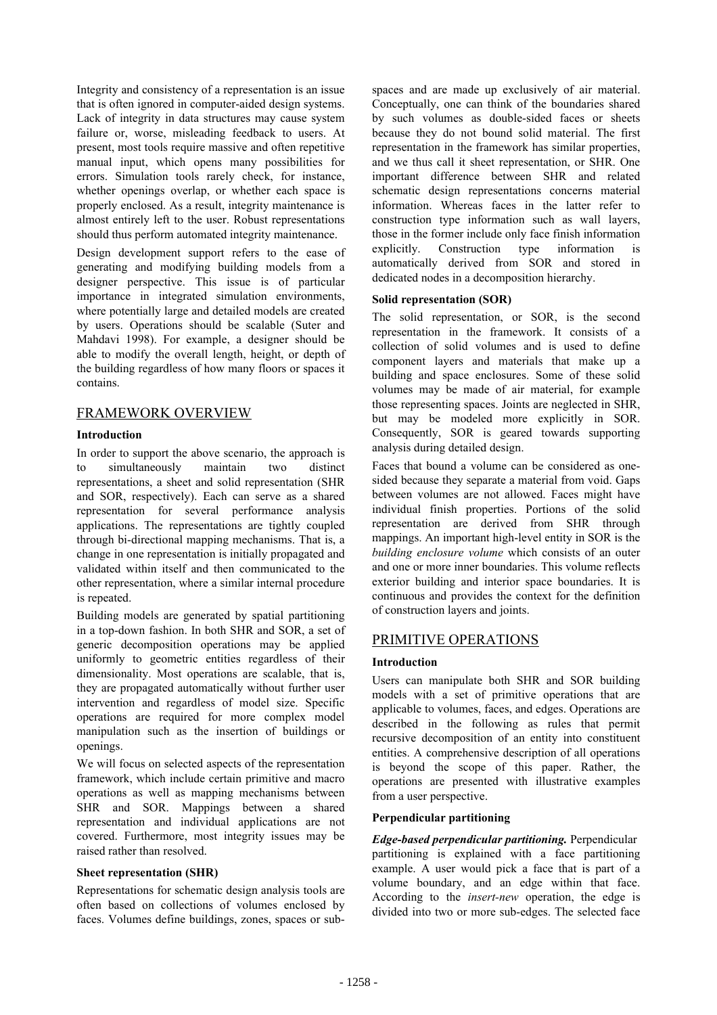Integrity and consistency of a representation is an issue that is often ignored in computer-aided design systems. Lack of integrity in data structures may cause system failure or, worse, misleading feedback to users. At present, most tools require massive and often repetitive manual input, which opens many possibilities for errors. Simulation tools rarely check, for instance, whether openings overlap, or whether each space is properly enclosed. As a result, integrity maintenance is almost entirely left to the user. Robust representations should thus perform automated integrity maintenance.

Design development support refers to the ease of generating and modifying building models from a designer perspective. This issue is of particular importance in integrated simulation environments, where potentially large and detailed models are created by users. Operations should be scalable (Suter and Mahdavi 1998). For example, a designer should be able to modify the overall length, height, or depth of the building regardless of how many floors or spaces it contains.

## FRAMEWORK OVERVIEW

## **Introduction**

In order to support the above scenario, the approach is to simultaneously maintain two distinct representations, a sheet and solid representation (SHR and SOR, respectively). Each can serve as a shared representation for several performance analysis applications. The representations are tightly coupled through bi-directional mapping mechanisms. That is, a change in one representation is initially propagated and validated within itself and then communicated to the other representation, where a similar internal procedure is repeated.

Building models are generated by spatial partitioning in a top-down fashion. In both SHR and SOR, a set of generic decomposition operations may be applied uniformly to geometric entities regardless of their dimensionality. Most operations are scalable, that is, they are propagated automatically without further user intervention and regardless of model size. Specific operations are required for more complex model manipulation such as the insertion of buildings or openings.

We will focus on selected aspects of the representation framework, which include certain primitive and macro operations as well as mapping mechanisms between SHR and SOR. Mappings between a shared representation and individual applications are not covered. Furthermore, most integrity issues may be raised rather than resolved.

## **Sheet representation (SHR)**

Representations for schematic design analysis tools are often based on collections of volumes enclosed by faces. Volumes define buildings, zones, spaces or subspaces and are made up exclusively of air material. Conceptually, one can think of the boundaries shared by such volumes as double-sided faces or sheets because they do not bound solid material. The first representation in the framework has similar properties, and we thus call it sheet representation, or SHR. One important difference between SHR and related schematic design representations concerns material information. Whereas faces in the latter refer to construction type information such as wall layers, those in the former include only face finish information explicitly. Construction type information is automatically derived from SOR and stored in dedicated nodes in a decomposition hierarchy.

## **Solid representation (SOR)**

The solid representation, or SOR, is the second representation in the framework. It consists of a collection of solid volumes and is used to define component layers and materials that make up a building and space enclosures. Some of these solid volumes may be made of air material, for example those representing spaces. Joints are neglected in SHR, but may be modeled more explicitly in SOR. Consequently, SOR is geared towards supporting analysis during detailed design.

Faces that bound a volume can be considered as onesided because they separate a material from void. Gaps between volumes are not allowed. Faces might have individual finish properties. Portions of the solid representation are derived from SHR through mappings. An important high-level entity in SOR is the *building enclosure volume* which consists of an outer and one or more inner boundaries. This volume reflects exterior building and interior space boundaries. It is continuous and provides the context for the definition of construction layers and joints.

## PRIMITIVE OPERATIONS

## **Introduction**

Users can manipulate both SHR and SOR building models with a set of primitive operations that are applicable to volumes, faces, and edges. Operations are described in the following as rules that permit recursive decomposition of an entity into constituent entities. A comprehensive description of all operations is beyond the scope of this paper. Rather, the operations are presented with illustrative examples from a user perspective.

## **Perpendicular partitioning**

*Edge-based perpendicular partitioning.* Perpendicular partitioning is explained with a face partitioning example. A user would pick a face that is part of a volume boundary, and an edge within that face. According to the *insert-new* operation, the edge is divided into two or more sub-edges. The selected face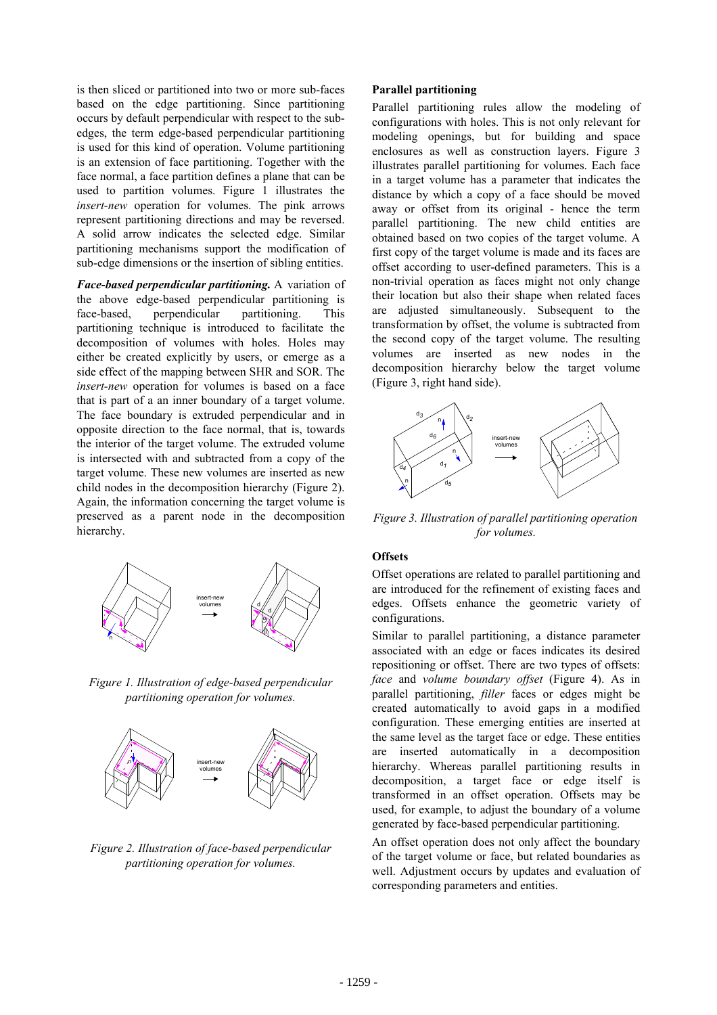is then sliced or partitioned into two or more sub-faces based on the edge partitioning. Since partitioning occurs by default perpendicular with respect to the subedges, the term edge-based perpendicular partitioning is used for this kind of operation. Volume partitioning is an extension of face partitioning. Together with the face normal, a face partition defines a plane that can be used to partition volumes. Figure 1 illustrates the *insert-new* operation for volumes. The pink arrows represent partitioning directions and may be reversed. A solid arrow indicates the selected edge. Similar partitioning mechanisms support the modification of sub-edge dimensions or the insertion of sibling entities.

*Face-based perpendicular partitioning.* A variation of the above edge-based perpendicular partitioning is face-based, perpendicular partitioning. This partitioning technique is introduced to facilitate the decomposition of volumes with holes. Holes may either be created explicitly by users, or emerge as a side effect of the mapping between SHR and SOR. The *insert-new* operation for volumes is based on a face that is part of a an inner boundary of a target volume. The face boundary is extruded perpendicular and in opposite direction to the face normal, that is, towards the interior of the target volume. The extruded volume is intersected with and subtracted from a copy of the target volume. These new volumes are inserted as new child nodes in the decomposition hierarchy (Figure 2). Again, the information concerning the target volume is preserved as a parent node in the decomposition hierarchy.



*Figure 1. Illustration of edge-based perpendicular partitioning operation for volumes.* 



*Figure 2. Illustration of face-based perpendicular partitioning operation for volumes.*

### **Parallel partitioning**

Parallel partitioning rules allow the modeling of configurations with holes. This is not only relevant for modeling openings, but for building and space enclosures as well as construction layers. Figure 3 illustrates parallel partitioning for volumes. Each face in a target volume has a parameter that indicates the distance by which a copy of a face should be moved away or offset from its original - hence the term parallel partitioning. The new child entities are obtained based on two copies of the target volume. A first copy of the target volume is made and its faces are offset according to user-defined parameters. This is a non-trivial operation as faces might not only change their location but also their shape when related faces are adjusted simultaneously. Subsequent to the transformation by offset, the volume is subtracted from the second copy of the target volume. The resulting volumes are inserted as new nodes in the decomposition hierarchy below the target volume (Figure 3, right hand side).



*Figure 3. Illustration of parallel partitioning operation for volumes.*

## **Offsets**

Offset operations are related to parallel partitioning and are introduced for the refinement of existing faces and edges. Offsets enhance the geometric variety of configurations.

Similar to parallel partitioning, a distance parameter associated with an edge or faces indicates its desired repositioning or offset. There are two types of offsets: *face* and *volume boundary offset* (Figure 4). As in parallel partitioning, *filler* faces or edges might be created automatically to avoid gaps in a modified configuration. These emerging entities are inserted at the same level as the target face or edge. These entities are inserted automatically in a decomposition hierarchy. Whereas parallel partitioning results in decomposition, a target face or edge itself is transformed in an offset operation. Offsets may be used, for example, to adjust the boundary of a volume generated by face-based perpendicular partitioning.

An offset operation does not only affect the boundary of the target volume or face, but related boundaries as well. Adjustment occurs by updates and evaluation of corresponding parameters and entities.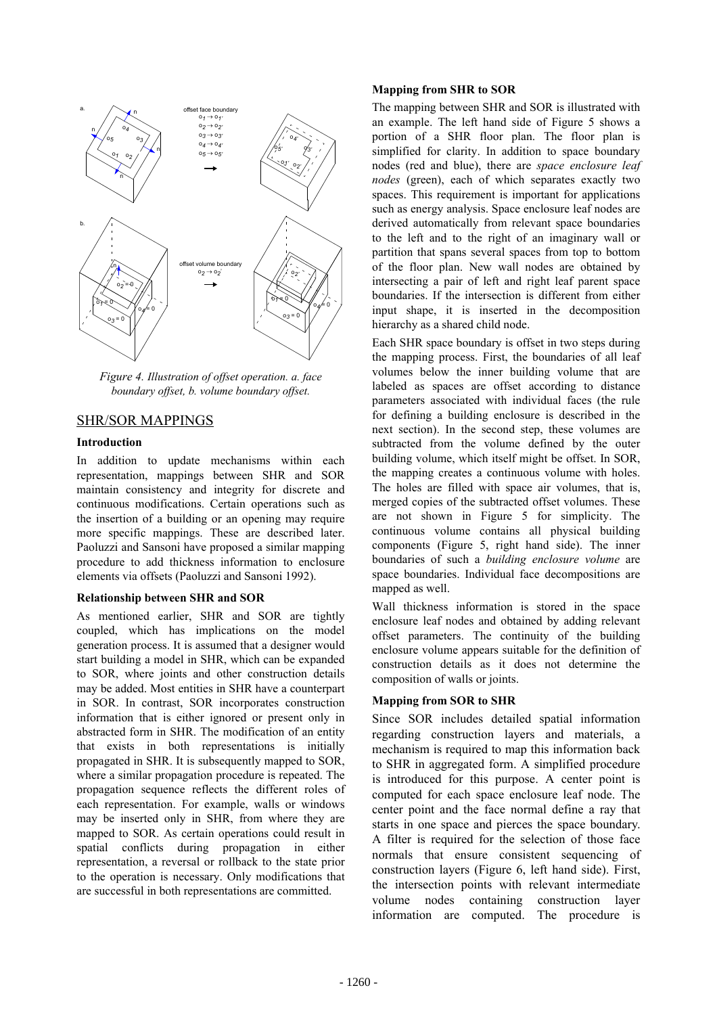

*Figure 4. Illustration of offset operation. a. face boundary offset, b. volume boundary offset.*

## SHR/SOR MAPPINGS

#### **Introduction**

In addition to update mechanisms within each representation, mappings between SHR and SOR maintain consistency and integrity for discrete and continuous modifications. Certain operations such as the insertion of a building or an opening may require more specific mappings. These are described later. Paoluzzi and Sansoni have proposed a similar mapping procedure to add thickness information to enclosure elements via offsets (Paoluzzi and Sansoni 1992).

#### **Relationship between SHR and SOR**

As mentioned earlier, SHR and SOR are tightly coupled, which has implications on the model generation process. It is assumed that a designer would start building a model in SHR, which can be expanded to SOR, where joints and other construction details may be added. Most entities in SHR have a counterpart in SOR. In contrast, SOR incorporates construction information that is either ignored or present only in abstracted form in SHR. The modification of an entity that exists in both representations is initially propagated in SHR. It is subsequently mapped to SOR, where a similar propagation procedure is repeated. The propagation sequence reflects the different roles of each representation. For example, walls or windows may be inserted only in SHR, from where they are mapped to SOR. As certain operations could result in spatial conflicts during propagation in either representation, a reversal or rollback to the state prior to the operation is necessary. Only modifications that are successful in both representations are committed.

#### **Mapping from SHR to SOR**

The mapping between SHR and SOR is illustrated with an example. The left hand side of Figure 5 shows a portion of a SHR floor plan. The floor plan is simplified for clarity. In addition to space boundary nodes (red and blue), there are *space enclosure leaf nodes* (green), each of which separates exactly two spaces. This requirement is important for applications such as energy analysis. Space enclosure leaf nodes are derived automatically from relevant space boundaries to the left and to the right of an imaginary wall or partition that spans several spaces from top to bottom of the floor plan. New wall nodes are obtained by intersecting a pair of left and right leaf parent space boundaries. If the intersection is different from either input shape, it is inserted in the decomposition hierarchy as a shared child node.

Each SHR space boundary is offset in two steps during the mapping process. First, the boundaries of all leaf volumes below the inner building volume that are labeled as spaces are offset according to distance parameters associated with individual faces (the rule for defining a building enclosure is described in the next section). In the second step, these volumes are subtracted from the volume defined by the outer building volume, which itself might be offset. In SOR, the mapping creates a continuous volume with holes. The holes are filled with space air volumes, that is, merged copies of the subtracted offset volumes. These are not shown in Figure 5 for simplicity. The continuous volume contains all physical building components (Figure 5, right hand side). The inner boundaries of such a *building enclosure volume* are space boundaries. Individual face decompositions are mapped as well.

Wall thickness information is stored in the space enclosure leaf nodes and obtained by adding relevant offset parameters. The continuity of the building enclosure volume appears suitable for the definition of construction details as it does not determine the composition of walls or joints.

## **Mapping from SOR to SHR**

Since SOR includes detailed spatial information regarding construction layers and materials, a mechanism is required to map this information back to SHR in aggregated form. A simplified procedure is introduced for this purpose. A center point is computed for each space enclosure leaf node. The center point and the face normal define a ray that starts in one space and pierces the space boundary. A filter is required for the selection of those face normals that ensure consistent sequencing of construction layers (Figure 6, left hand side). First, the intersection points with relevant intermediate volume nodes containing construction layer information are computed. The procedure is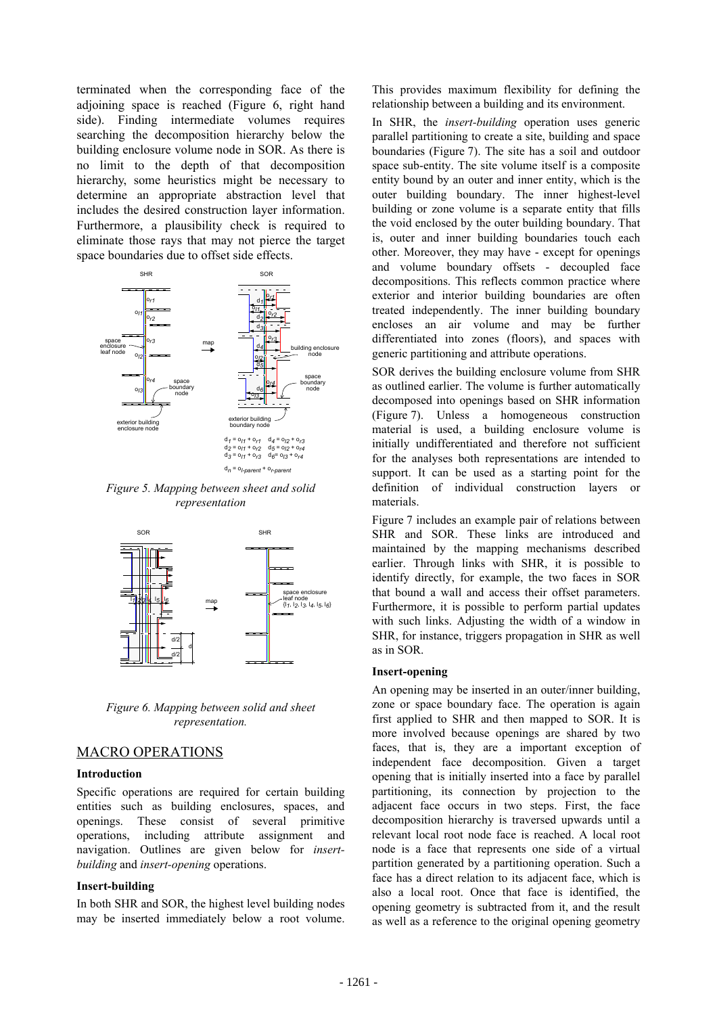terminated when the corresponding face of the adjoining space is reached (Figure 6, right hand side). Finding intermediate volumes requires searching the decomposition hierarchy below the building enclosure volume node in SOR. As there is no limit to the depth of that decomposition hierarchy, some heuristics might be necessary to determine an appropriate abstraction level that includes the desired construction layer information. Furthermore, a plausibility check is required to eliminate those rays that may not pierce the target space boundaries due to offset side effects.



*Figure 5. Mapping between sheet and solid representation*



*Figure 6. Mapping between solid and sheet representation.*

## MACRO OPERATIONS

#### **Introduction**

Specific operations are required for certain building entities such as building enclosures, spaces, and openings. These consist of several primitive operations, including attribute assignment and navigation. Outlines are given below for *insertbuilding* and *insert-opening* operations.

#### **Insert-building**

In both SHR and SOR, the highest level building nodes may be inserted immediately below a root volume. This provides maximum flexibility for defining the relationship between a building and its environment.

In SHR, the *insert-building* operation uses generic parallel partitioning to create a site, building and space boundaries (Figure 7). The site has a soil and outdoor space sub-entity. The site volume itself is a composite entity bound by an outer and inner entity, which is the outer building boundary. The inner highest-level building or zone volume is a separate entity that fills the void enclosed by the outer building boundary. That is, outer and inner building boundaries touch each other. Moreover, they may have - except for openings and volume boundary offsets - decoupled face decompositions. This reflects common practice where exterior and interior building boundaries are often treated independently. The inner building boundary encloses an air volume and may be further differentiated into zones (floors), and spaces with generic partitioning and attribute operations.

SOR derives the building enclosure volume from SHR as outlined earlier. The volume is further automatically decomposed into openings based on SHR information (Figure 7). Unless a homogeneous construction material is used, a building enclosure volume is initially undifferentiated and therefore not sufficient for the analyses both representations are intended to support. It can be used as a starting point for the definition of individual construction layers or materials.

Figure 7 includes an example pair of relations between SHR and SOR. These links are introduced and maintained by the mapping mechanisms described earlier. Through links with SHR, it is possible to identify directly, for example, the two faces in SOR that bound a wall and access their offset parameters. Furthermore, it is possible to perform partial updates with such links. Adjusting the width of a window in SHR, for instance, triggers propagation in SHR as well as in SOR.

#### **Insert-opening**

An opening may be inserted in an outer/inner building, zone or space boundary face. The operation is again first applied to SHR and then mapped to SOR. It is more involved because openings are shared by two faces, that is, they are a important exception of independent face decomposition. Given a target opening that is initially inserted into a face by parallel partitioning, its connection by projection to the adjacent face occurs in two steps. First, the face decomposition hierarchy is traversed upwards until a relevant local root node face is reached. A local root node is a face that represents one side of a virtual partition generated by a partitioning operation. Such a face has a direct relation to its adjacent face, which is also a local root. Once that face is identified, the opening geometry is subtracted from it, and the result as well as a reference to the original opening geometry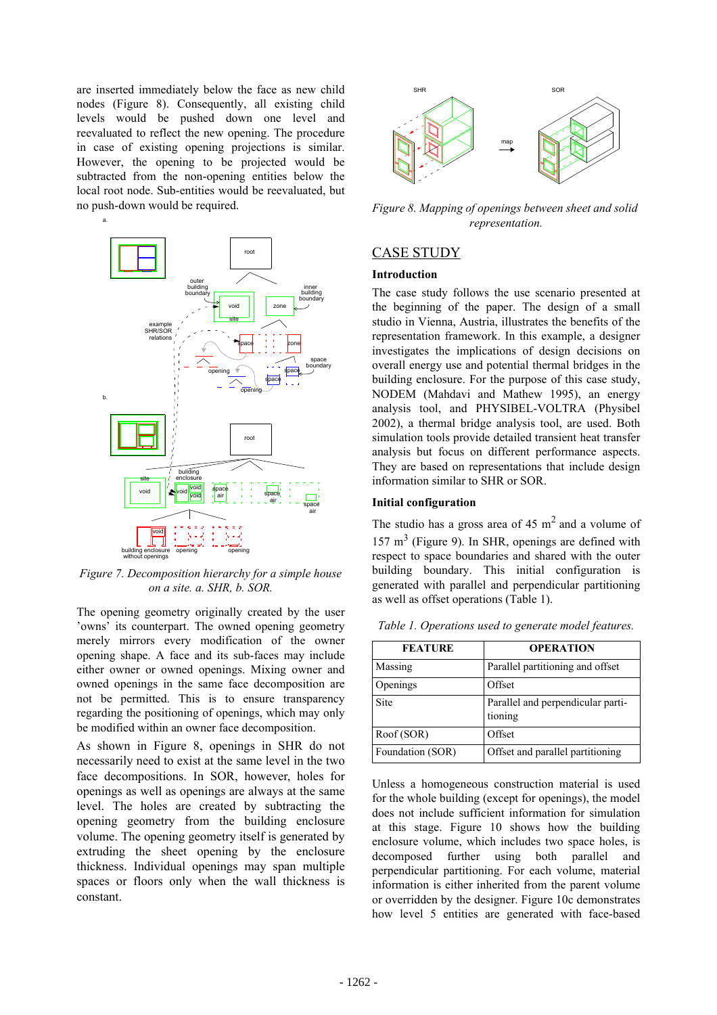are inserted immediately below the face as new child nodes (Figure 8). Consequently, all existing child levels would be pushed down one level and reevaluated to reflect the new opening. The procedure in case of existing opening projections is similar. However, the opening to be projected would be subtracted from the non-opening entities below the local root node. Sub-entities would be reevaluated, but no push-down would be required.



*Figure 7. Decomposition hierarchy for a simple house on a site. a. SHR, b. SOR.*

The opening geometry originally created by the user 'owns' its counterpart. The owned opening geometry merely mirrors every modification of the owner opening shape. A face and its sub-faces may include either owner or owned openings. Mixing owner and owned openings in the same face decomposition are not be permitted. This is to ensure transparency regarding the positioning of openings, which may only be modified within an owner face decomposition.

As shown in Figure 8, openings in SHR do not necessarily need to exist at the same level in the two face decompositions. In SOR, however, holes for openings as well as openings are always at the same level. The holes are created by subtracting the opening geometry from the building enclosure volume. The opening geometry itself is generated by extruding the sheet opening by the enclosure thickness. Individual openings may span multiple spaces or floors only when the wall thickness is constant.



*Figure 8. Mapping of openings between sheet and solid representation.* 

## CASE STUDY

## **Introduction**

The case study follows the use scenario presented at the beginning of the paper. The design of a small studio in Vienna, Austria, illustrates the benefits of the representation framework. In this example, a designer investigates the implications of design decisions on overall energy use and potential thermal bridges in the building enclosure. For the purpose of this case study, NODEM (Mahdavi and Mathew 1995), an energy analysis tool, and PHYSIBEL-VOLTRA (Physibel 2002), a thermal bridge analysis tool, are used. Both simulation tools provide detailed transient heat transfer analysis but focus on different performance aspects. They are based on representations that include design information similar to SHR or SOR.

## **Initial configuration**

The studio has a gross area of  $45 \text{ m}^2$  and a volume of  $157 \text{ m}^3$  (Figure 9). In SHR, openings are defined with respect to space boundaries and shared with the outer building boundary. This initial configuration is generated with parallel and perpendicular partitioning as well as offset operations (Table 1).

| <b>FEATURE</b>   | <b>OPERATION</b>                             |
|------------------|----------------------------------------------|
| Massing          | Parallel partitioning and offset             |
| Openings         | Offset                                       |
| <b>Site</b>      | Parallel and perpendicular parti-<br>tioning |
| Roof (SOR)       | Offset                                       |
| Foundation (SOR) | Offset and parallel partitioning             |

*Table 1. Operations used to generate model features.*

Unless a homogeneous construction material is used for the whole building (except for openings), the model does not include sufficient information for simulation at this stage. Figure 10 shows how the building enclosure volume, which includes two space holes, is decomposed further using both parallel and perpendicular partitioning. For each volume, material information is either inherited from the parent volume or overridden by the designer. Figure 10c demonstrates how level 5 entities are generated with face-based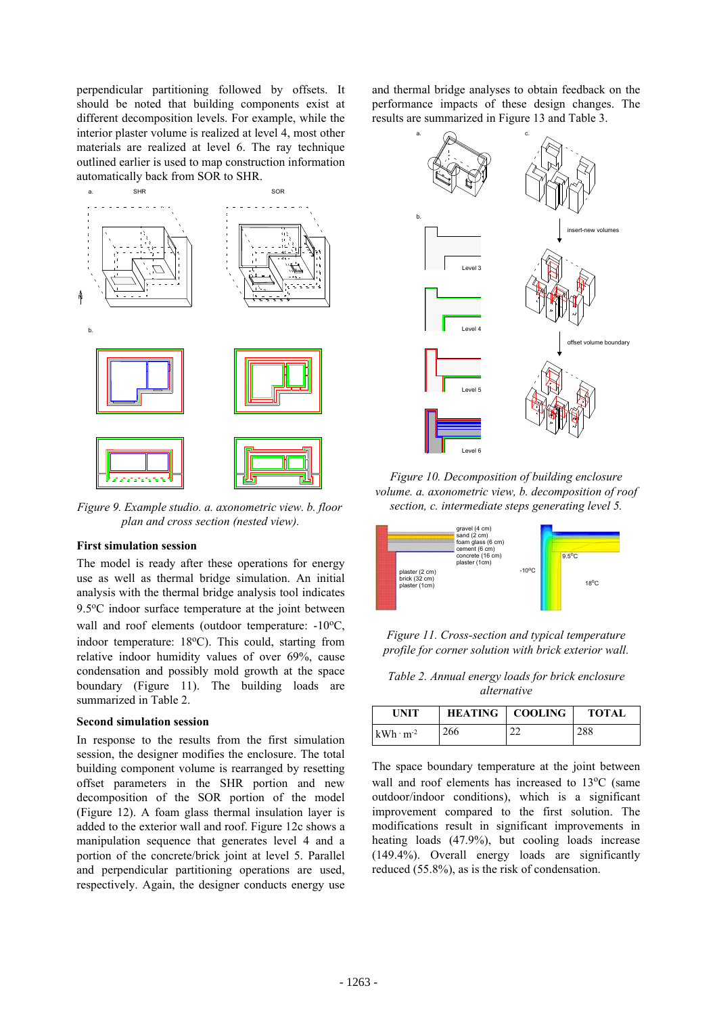perpendicular partitioning followed by offsets. It should be noted that building components exist at different decomposition levels. For example, while the interior plaster volume is realized at level 4, most other materials are realized at level 6. The ray technique outlined earlier is used to map construction information automatically back from SOR to SHR.



*Figure 9. Example studio. a. axonometric view. b. floor plan and cross section (nested view).*

## **First simulation session**

The model is ready after these operations for energy use as well as thermal bridge simulation. An initial analysis with the thermal bridge analysis tool indicates 9.5°C indoor surface temperature at the joint between wall and roof elements (outdoor temperature: -10°C, indoor temperature:  $18^{\circ}$ C). This could, starting from relative indoor humidity values of over 69%, cause condensation and possibly mold growth at the space boundary (Figure 11). The building loads are summarized in Table 2.

#### **Second simulation session**

In response to the results from the first simulation session, the designer modifies the enclosure. The total building component volume is rearranged by resetting offset parameters in the SHR portion and new decomposition of the SOR portion of the model (Figure 12). A foam glass thermal insulation layer is added to the exterior wall and roof. Figure 12c shows a manipulation sequence that generates level 4 and a portion of the concrete/brick joint at level 5. Parallel and perpendicular partitioning operations are used, respectively. Again, the designer conducts energy use and thermal bridge analyses to obtain feedback on the performance impacts of these design changes. The results are summarized in Figure 13 and Table 3.



*Figure 10. Decomposition of building enclosure volume. a. axonometric view, b. decomposition of roof section, c. intermediate steps generating level 5.*



*Figure 11. Cross-section and typical temperature profile for corner solution with brick exterior wall.*

*Table 2. Annual energy loads for brick enclosure alternative*

| <b>UNIT</b>        |     | <b>HEATING</b>   COOLING | <b>TOTAL</b> |
|--------------------|-----|--------------------------|--------------|
| $kWh \cdot m^{-2}$ | 266 | nn<br>∠∠                 | 288          |

The space boundary temperature at the joint between wall and roof elements has increased to 13°C (same outdoor/indoor conditions), which is a significant improvement compared to the first solution. The modifications result in significant improvements in heating loads (47.9%), but cooling loads increase (149.4%). Overall energy loads are significantly reduced (55.8%), as is the risk of condensation.